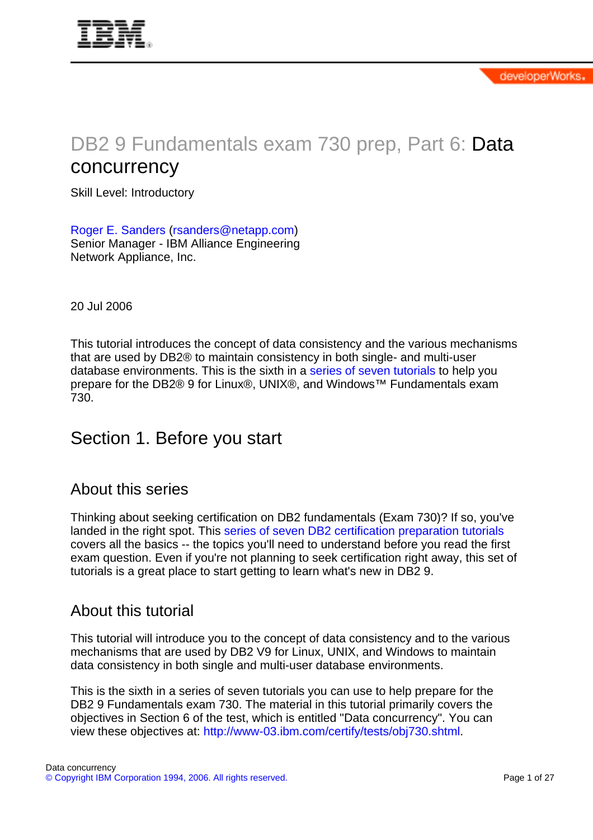# DB2 9 Fundamentals exam 730 prep, Part 6: Data concurrency

Skill Level: Introductory

[Roger E. Sanders](#page-26-0) ([rsanders@netapp.com](mailto:rsanders@netapp.com)) Senior Manager - IBM Alliance Engineering Network Appliance, Inc.

20 Jul 2006

This tutorial introduces the concept of data consistency and the various mechanisms that are used by DB2® to maintain consistency in both single- and multi-user database environments. This is the sixth in a [series of seven tutorials](http://www.ibm.com/developerworks/offers/lp/db2cert/db2-cert730.html?S_TACT=105AGX19&S_CMP=db2cert) to help you prepare for the DB2® 9 for Linux®, UNIX®, and Windows™ Fundamentals exam 730.

# Section 1. Before you start

## About this series

Thinking about seeking certification on DB2 fundamentals (Exam 730)? If so, you've landed in the right spot. This [series of seven DB2 certification preparation tutorials](http://www.ibm.com/developerworks/offers/lp/db2cert/db2-cert730.html?S_TACT=105AGX19&S_CMP=db2cert) covers all the basics -- the topics you'll need to understand before you read the first exam question. Even if you're not planning to seek certification right away, this set of tutorials is a great place to start getting to learn what's new in DB2 9.

### About this tutorial

This tutorial will introduce you to the concept of data consistency and to the various mechanisms that are used by DB2 V9 for Linux, UNIX, and Windows to maintain data consistency in both single and multi-user database environments.

This is the sixth in a series of seven tutorials you can use to help prepare for the DB2 9 Fundamentals exam 730. The material in this tutorial primarily covers the objectives in Section 6 of the test, which is entitled "Data concurrency". You can view these objectives at: [http://www-03.ibm.com/certify/tests/obj730.shtml.](http://www-03.ibm.com/certify/tests/obj730.shtml)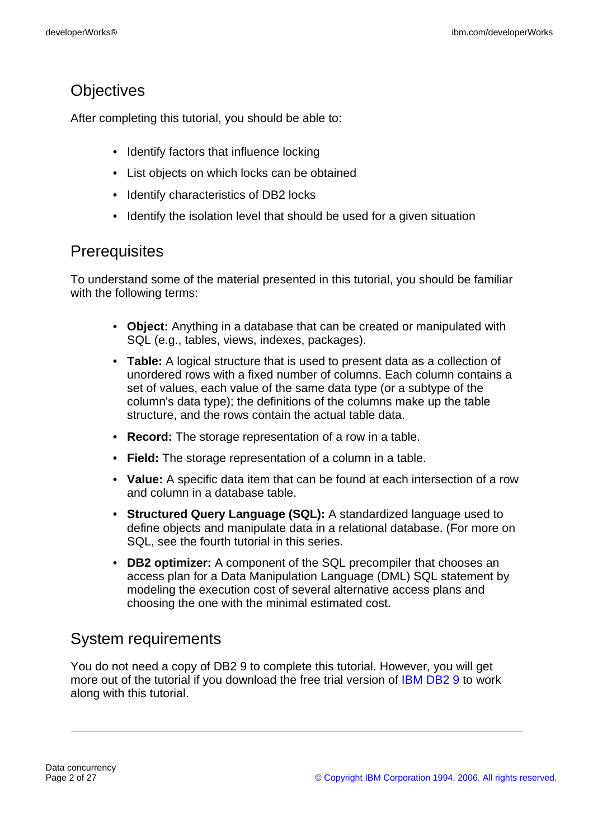# **Objectives**

After completing this tutorial, you should be able to:

- Identify factors that influence locking
- List objects on which locks can be obtained
- Identify characteristics of DB2 locks
- Identify the isolation level that should be used for a given situation

## **Prerequisites**

To understand some of the material presented in this tutorial, you should be familiar with the following terms:

- **Object:** Anything in a database that can be created or manipulated with SQL (e.g., tables, views, indexes, packages).
- **Table:** A logical structure that is used to present data as a collection of unordered rows with a fixed number of columns. Each column contains a set of values, each value of the same data type (or a subtype of the column's data type); the definitions of the columns make up the table structure, and the rows contain the actual table data.
- **Record:** The storage representation of a row in a table.
- **Field:** The storage representation of a column in a table.
- **Value:** A specific data item that can be found at each intersection of a row and column in a database table.
- **Structured Query Language (SQL):** A standardized language used to define objects and manipulate data in a relational database. (For more on SQL, see the fourth tutorial in this series.
- **DB2 optimizer:** A component of the SQL precompiler that chooses an access plan for a Data Manipulation Language (DML) SQL statement by modeling the execution cost of several alternative access plans and choosing the one with the minimal estimated cost.

# System requirements

You do not need a copy of DB2 9 to complete this tutorial. However, you will get more out of the tutorial if you download the free trial version of [IBM DB2 9](http://www.ibm.com/developerworks/downloads/im/udb/?S_TACT=105AGX19&S_CMP=db2cert) to work along with this tutorial.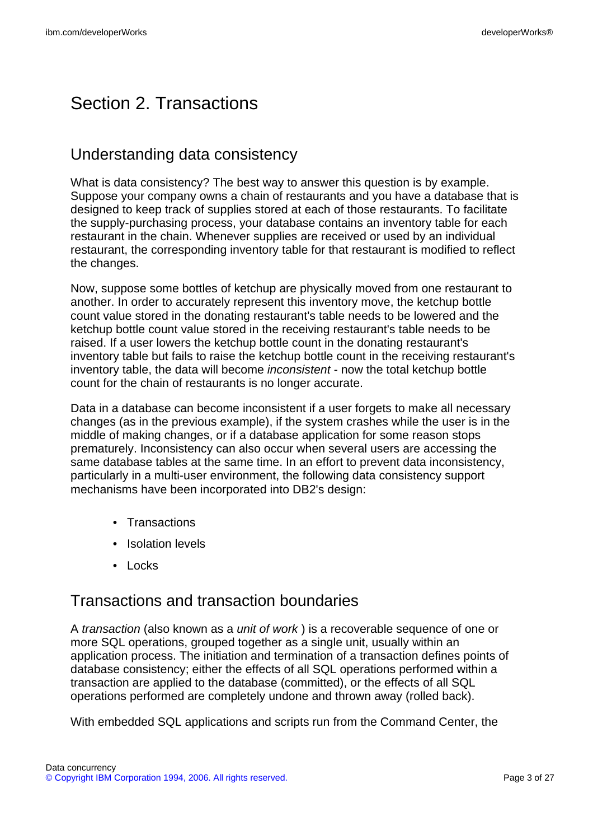# Section 2. Transactions

# Understanding data consistency

What is data consistency? The best way to answer this question is by example. Suppose your company owns a chain of restaurants and you have a database that is designed to keep track of supplies stored at each of those restaurants. To facilitate the supply-purchasing process, your database contains an inventory table for each restaurant in the chain. Whenever supplies are received or used by an individual restaurant, the corresponding inventory table for that restaurant is modified to reflect the changes.

Now, suppose some bottles of ketchup are physically moved from one restaurant to another. In order to accurately represent this inventory move, the ketchup bottle count value stored in the donating restaurant's table needs to be lowered and the ketchup bottle count value stored in the receiving restaurant's table needs to be raised. If a user lowers the ketchup bottle count in the donating restaurant's inventory table but fails to raise the ketchup bottle count in the receiving restaurant's inventory table, the data will become *inconsistent* - now the total ketchup bottle count for the chain of restaurants is no longer accurate.

Data in a database can become inconsistent if a user forgets to make all necessary changes (as in the previous example), if the system crashes while the user is in the middle of making changes, or if a database application for some reason stops prematurely. Inconsistency can also occur when several users are accessing the same database tables at the same time. In an effort to prevent data inconsistency, particularly in a multi-user environment, the following data consistency support mechanisms have been incorporated into DB2's design:

- Transactions
- Isolation levels
- Locks

## Transactions and transaction boundaries

A transaction (also known as a unit of work ) is a recoverable sequence of one or more SQL operations, grouped together as a single unit, usually within an application process. The initiation and termination of a transaction defines points of database consistency; either the effects of all SQL operations performed within a transaction are applied to the database (committed), or the effects of all SQL operations performed are completely undone and thrown away (rolled back).

With embedded SQL applications and scripts run from the Command Center, the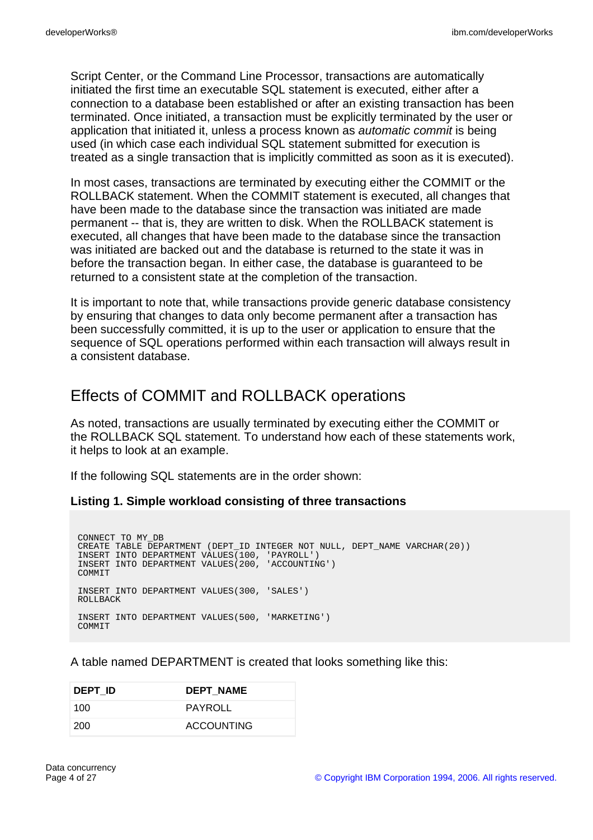Script Center, or the Command Line Processor, transactions are automatically initiated the first time an executable SQL statement is executed, either after a connection to a database been established or after an existing transaction has been terminated. Once initiated, a transaction must be explicitly terminated by the user or application that initiated it, unless a process known as automatic commit is being used (in which case each individual SQL statement submitted for execution is treated as a single transaction that is implicitly committed as soon as it is executed).

In most cases, transactions are terminated by executing either the COMMIT or the ROLLBACK statement. When the COMMIT statement is executed, all changes that have been made to the database since the transaction was initiated are made permanent -- that is, they are written to disk. When the ROLLBACK statement is executed, all changes that have been made to the database since the transaction was initiated are backed out and the database is returned to the state it was in before the transaction began. In either case, the database is guaranteed to be returned to a consistent state at the completion of the transaction.

It is important to note that, while transactions provide generic database consistency by ensuring that changes to data only become permanent after a transaction has been successfully committed, it is up to the user or application to ensure that the sequence of SQL operations performed within each transaction will always result in a consistent database.

## Effects of COMMIT and ROLLBACK operations

As noted, transactions are usually terminated by executing either the COMMIT or the ROLLBACK SQL statement. To understand how each of these statements work, it helps to look at an example.

If the following SQL statements are in the order shown:

#### **Listing 1. Simple workload consisting of three transactions**

CONNECT TO MY\_DB CREATE TABLE DEPARTMENT (DEPT ID INTEGER NOT NULL, DEPT NAME VARCHAR(20)) INSERT INTO DEPARTMENT VALUES(100, 'PAYROLL') INSERT INTO DEPARTMENT VALUES(200, 'ACCOUNTING') COMMIT INSERT INTO DEPARTMENT VALUES(300, 'SALES') ROLLBACK INSERT INTO DEPARTMENT VALUES(500, 'MARKETING') COMMIT

A table named DEPARTMENT is created that looks something like this:

| DEPT ID | <b>DEPT NAME</b>  |
|---------|-------------------|
| 100     | PAYROLL           |
| -200    | <b>ACCOUNTING</b> |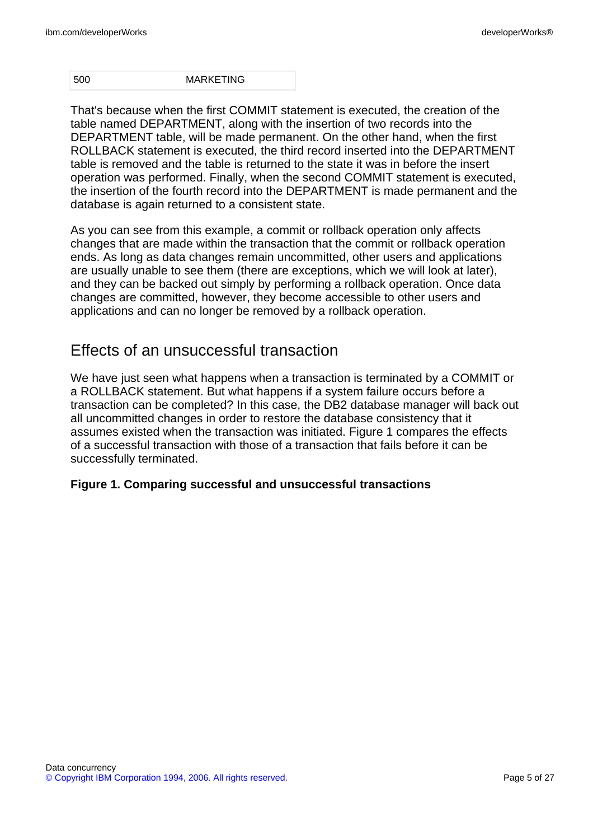500 MARKETING

That's because when the first COMMIT statement is executed, the creation of the table named DEPARTMENT, along with the insertion of two records into the DEPARTMENT table, will be made permanent. On the other hand, when the first ROLLBACK statement is executed, the third record inserted into the DEPARTMENT table is removed and the table is returned to the state it was in before the insert operation was performed. Finally, when the second COMMIT statement is executed, the insertion of the fourth record into the DEPARTMENT is made permanent and the database is again returned to a consistent state.

As you can see from this example, a commit or rollback operation only affects changes that are made within the transaction that the commit or rollback operation ends. As long as data changes remain uncommitted, other users and applications are usually unable to see them (there are exceptions, which we will look at later), and they can be backed out simply by performing a rollback operation. Once data changes are committed, however, they become accessible to other users and applications and can no longer be removed by a rollback operation.

# Effects of an unsuccessful transaction

We have just seen what happens when a transaction is terminated by a COMMIT or a ROLLBACK statement. But what happens if a system failure occurs before a transaction can be completed? In this case, the DB2 database manager will back out all uncommitted changes in order to restore the database consistency that it assumes existed when the transaction was initiated. Figure 1 compares the effects of a successful transaction with those of a transaction that fails before it can be successfully terminated.

### **Figure 1. Comparing successful and unsuccessful transactions**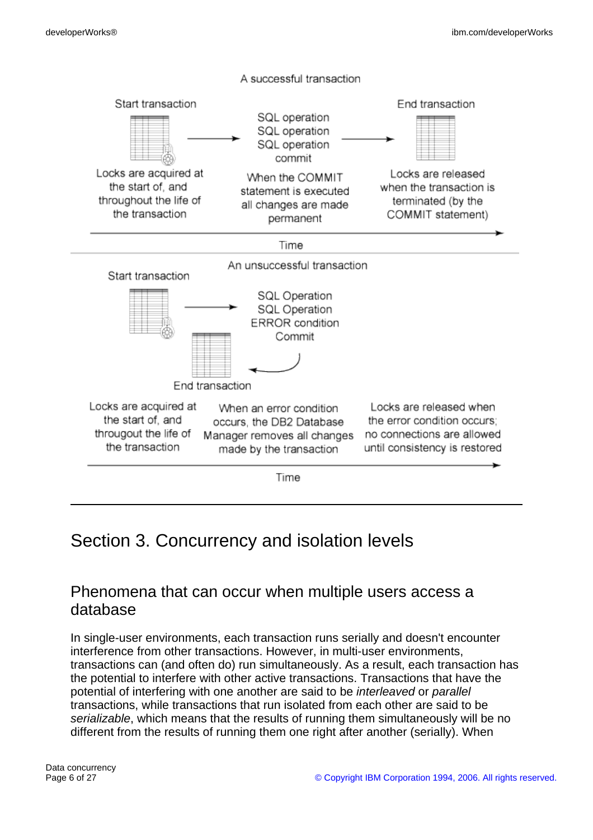

# <span id="page-5-0"></span>Section 3. Concurrency and isolation levels

## Phenomena that can occur when multiple users access a database

In single-user environments, each transaction runs serially and doesn't encounter interference from other transactions. However, in multi-user environments, transactions can (and often do) run simultaneously. As a result, each transaction has the potential to interfere with other active transactions. Transactions that have the potential of interfering with one another are said to be interleaved or parallel transactions, while transactions that run isolated from each other are said to be serializable, which means that the results of running them simultaneously will be no different from the results of running them one right after another (serially). When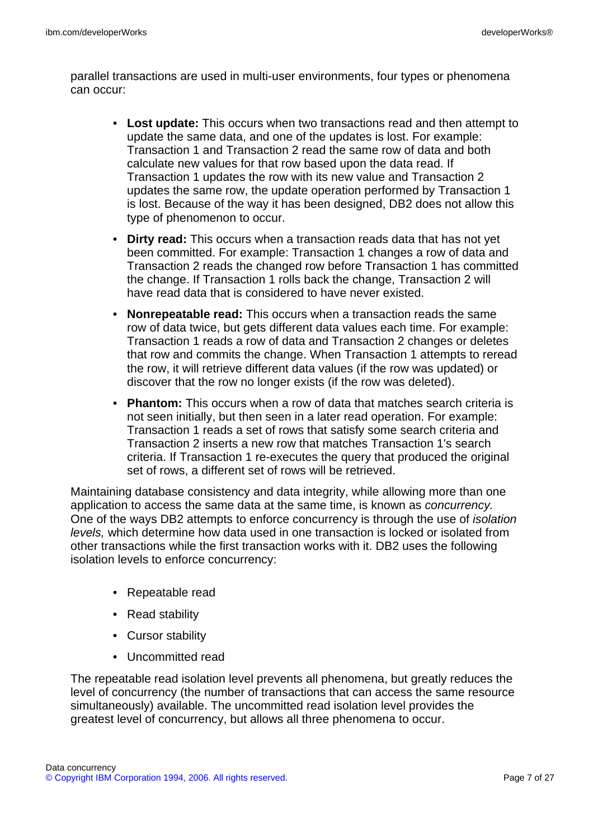parallel transactions are used in multi-user environments, four types or phenomena can occur:

- **Lost update:** This occurs when two transactions read and then attempt to update the same data, and one of the updates is lost. For example: Transaction 1 and Transaction 2 read the same row of data and both calculate new values for that row based upon the data read. If Transaction 1 updates the row with its new value and Transaction 2 updates the same row, the update operation performed by Transaction 1 is lost. Because of the way it has been designed, DB2 does not allow this type of phenomenon to occur.
- **Dirty read:** This occurs when a transaction reads data that has not yet been committed. For example: Transaction 1 changes a row of data and Transaction 2 reads the changed row before Transaction 1 has committed the change. If Transaction 1 rolls back the change, Transaction 2 will have read data that is considered to have never existed.
- **Nonrepeatable read:** This occurs when a transaction reads the same row of data twice, but gets different data values each time. For example: Transaction 1 reads a row of data and Transaction 2 changes or deletes that row and commits the change. When Transaction 1 attempts to reread the row, it will retrieve different data values (if the row was updated) or discover that the row no longer exists (if the row was deleted).
- **Phantom:** This occurs when a row of data that matches search criteria is not seen initially, but then seen in a later read operation. For example: Transaction 1 reads a set of rows that satisfy some search criteria and Transaction 2 inserts a new row that matches Transaction 1's search criteria. If Transaction 1 re-executes the query that produced the original set of rows, a different set of rows will be retrieved.

Maintaining database consistency and data integrity, while allowing more than one application to access the same data at the same time, is known as concurrency. One of the ways DB2 attempts to enforce concurrency is through the use of isolation levels, which determine how data used in one transaction is locked or isolated from other transactions while the first transaction works with it. DB2 uses the following isolation levels to enforce concurrency:

- Repeatable read
- Read stability
- Cursor stability
- Uncommitted read

The repeatable read isolation level prevents all phenomena, but greatly reduces the level of concurrency (the number of transactions that can access the same resource simultaneously) available. The uncommitted read isolation level provides the greatest level of concurrency, but allows all three phenomena to occur.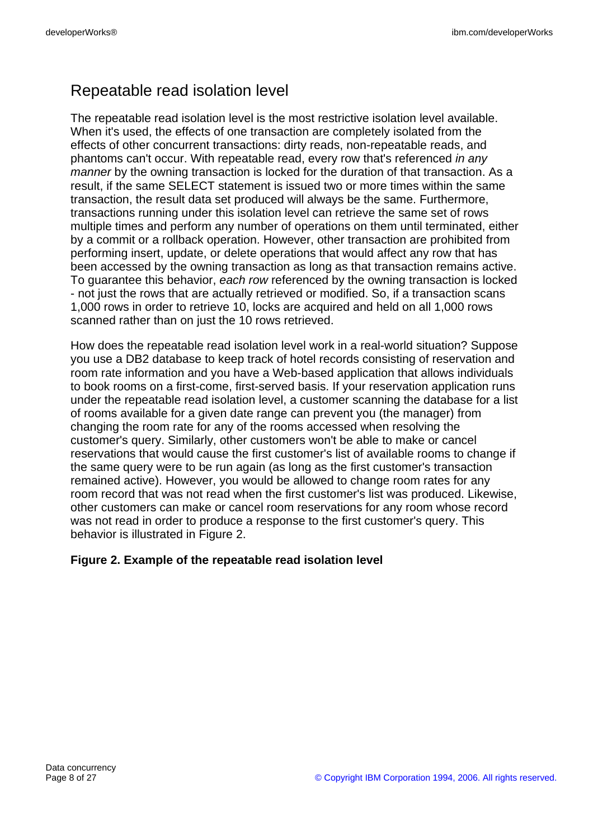# Repeatable read isolation level

The repeatable read isolation level is the most restrictive isolation level available. When it's used, the effects of one transaction are completely isolated from the effects of other concurrent transactions: dirty reads, non-repeatable reads, and phantoms can't occur. With repeatable read, every row that's referenced in any manner by the owning transaction is locked for the duration of that transaction. As a result, if the same SELECT statement is issued two or more times within the same transaction, the result data set produced will always be the same. Furthermore, transactions running under this isolation level can retrieve the same set of rows multiple times and perform any number of operations on them until terminated, either by a commit or a rollback operation. However, other transaction are prohibited from performing insert, update, or delete operations that would affect any row that has been accessed by the owning transaction as long as that transaction remains active. To quarantee this behavior, each row referenced by the owning transaction is locked - not just the rows that are actually retrieved or modified. So, if a transaction scans 1,000 rows in order to retrieve 10, locks are acquired and held on all 1,000 rows scanned rather than on just the 10 rows retrieved.

How does the repeatable read isolation level work in a real-world situation? Suppose you use a DB2 database to keep track of hotel records consisting of reservation and room rate information and you have a Web-based application that allows individuals to book rooms on a first-come, first-served basis. If your reservation application runs under the repeatable read isolation level, a customer scanning the database for a list of rooms available for a given date range can prevent you (the manager) from changing the room rate for any of the rooms accessed when resolving the customer's query. Similarly, other customers won't be able to make or cancel reservations that would cause the first customer's list of available rooms to change if the same query were to be run again (as long as the first customer's transaction remained active). However, you would be allowed to change room rates for any room record that was not read when the first customer's list was produced. Likewise, other customers can make or cancel room reservations for any room whose record was not read in order to produce a response to the first customer's query. This behavior is illustrated in Figure 2.

### **Figure 2. Example of the repeatable read isolation level**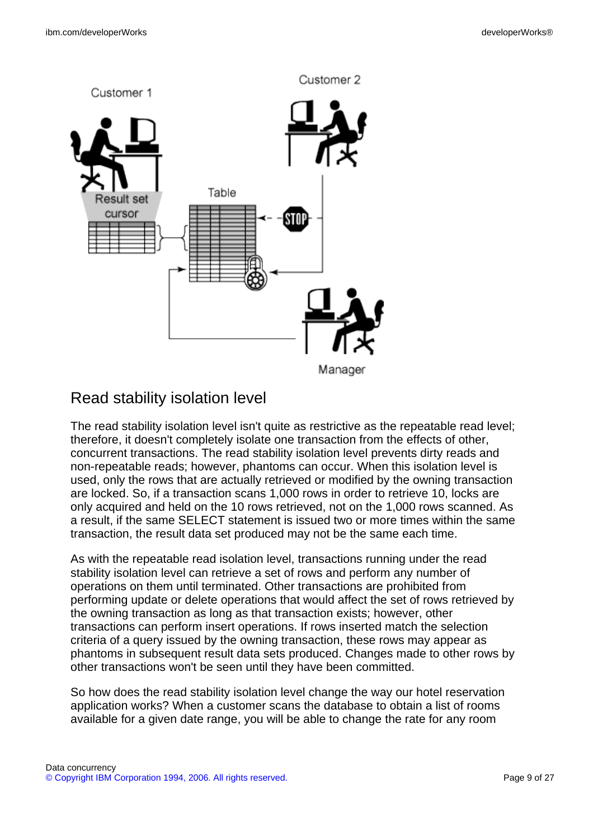

# Read stability isolation level

The read stability isolation level isn't quite as restrictive as the repeatable read level; therefore, it doesn't completely isolate one transaction from the effects of other, concurrent transactions. The read stability isolation level prevents dirty reads and non-repeatable reads; however, phantoms can occur. When this isolation level is used, only the rows that are actually retrieved or modified by the owning transaction are locked. So, if a transaction scans 1,000 rows in order to retrieve 10, locks are only acquired and held on the 10 rows retrieved, not on the 1,000 rows scanned. As a result, if the same SELECT statement is issued two or more times within the same transaction, the result data set produced may not be the same each time.

As with the repeatable read isolation level, transactions running under the read stability isolation level can retrieve a set of rows and perform any number of operations on them until terminated. Other transactions are prohibited from performing update or delete operations that would affect the set of rows retrieved by the owning transaction as long as that transaction exists; however, other transactions can perform insert operations. If rows inserted match the selection criteria of a query issued by the owning transaction, these rows may appear as phantoms in subsequent result data sets produced. Changes made to other rows by other transactions won't be seen until they have been committed.

So how does the read stability isolation level change the way our hotel reservation application works? When a customer scans the database to obtain a list of rooms available for a given date range, you will be able to change the rate for any room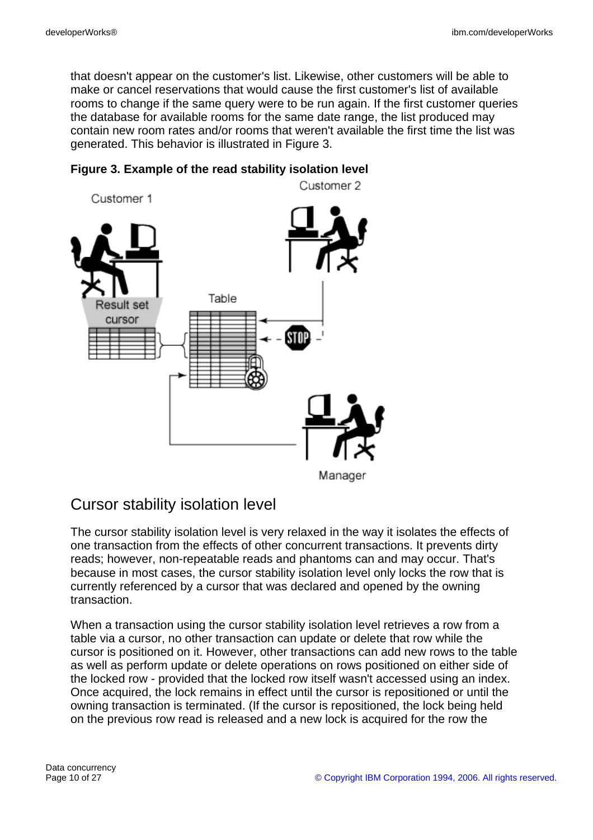that doesn't appear on the customer's list. Likewise, other customers will be able to make or cancel reservations that would cause the first customer's list of available rooms to change if the same query were to be run again. If the first customer queries the database for available rooms for the same date range, the list produced may contain new room rates and/or rooms that weren't available the first time the list was generated. This behavior is illustrated in Figure 3.



### **Figure 3. Example of the read stability isolation level**

# Cursor stability isolation level

The cursor stability isolation level is very relaxed in the way it isolates the effects of one transaction from the effects of other concurrent transactions. It prevents dirty reads; however, non-repeatable reads and phantoms can and may occur. That's because in most cases, the cursor stability isolation level only locks the row that is currently referenced by a cursor that was declared and opened by the owning transaction.

When a transaction using the cursor stability isolation level retrieves a row from a table via a cursor, no other transaction can update or delete that row while the cursor is positioned on it. However, other transactions can add new rows to the table as well as perform update or delete operations on rows positioned on either side of the locked row - provided that the locked row itself wasn't accessed using an index. Once acquired, the lock remains in effect until the cursor is repositioned or until the owning transaction is terminated. (If the cursor is repositioned, the lock being held on the previous row read is released and a new lock is acquired for the row the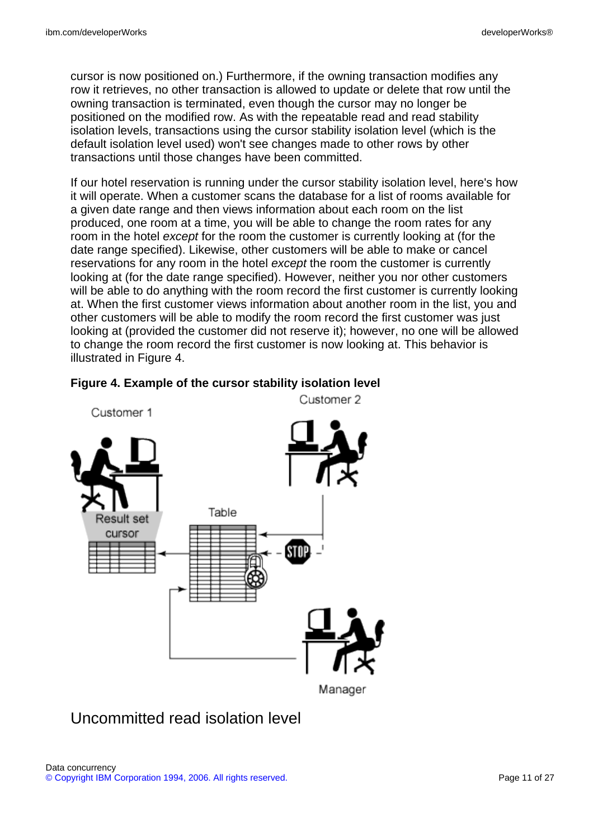cursor is now positioned on.) Furthermore, if the owning transaction modifies any row it retrieves, no other transaction is allowed to update or delete that row until the owning transaction is terminated, even though the cursor may no longer be positioned on the modified row. As with the repeatable read and read stability isolation levels, transactions using the cursor stability isolation level (which is the default isolation level used) won't see changes made to other rows by other transactions until those changes have been committed.

If our hotel reservation is running under the cursor stability isolation level, here's how it will operate. When a customer scans the database for a list of rooms available for a given date range and then views information about each room on the list produced, one room at a time, you will be able to change the room rates for any room in the hotel except for the room the customer is currently looking at (for the date range specified). Likewise, other customers will be able to make or cancel reservations for any room in the hotel except the room the customer is currently looking at (for the date range specified). However, neither you nor other customers will be able to do anything with the room record the first customer is currently looking at. When the first customer views information about another room in the list, you and other customers will be able to modify the room record the first customer was just looking at (provided the customer did not reserve it); however, no one will be allowed to change the room record the first customer is now looking at. This behavior is illustrated in Figure 4.



#### **Figure 4. Example of the cursor stability isolation level**

# Uncommitted read isolation level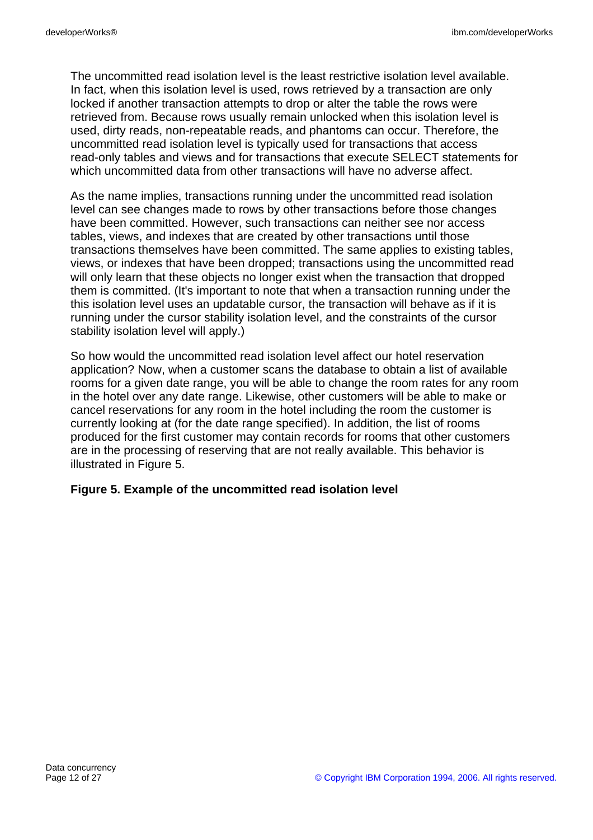The uncommitted read isolation level is the least restrictive isolation level available. In fact, when this isolation level is used, rows retrieved by a transaction are only locked if another transaction attempts to drop or alter the table the rows were retrieved from. Because rows usually remain unlocked when this isolation level is used, dirty reads, non-repeatable reads, and phantoms can occur. Therefore, the uncommitted read isolation level is typically used for transactions that access read-only tables and views and for transactions that execute SELECT statements for which uncommitted data from other transactions will have no adverse affect.

As the name implies, transactions running under the uncommitted read isolation level can see changes made to rows by other transactions before those changes have been committed. However, such transactions can neither see nor access tables, views, and indexes that are created by other transactions until those transactions themselves have been committed. The same applies to existing tables, views, or indexes that have been dropped; transactions using the uncommitted read will only learn that these objects no longer exist when the transaction that dropped them is committed. (It's important to note that when a transaction running under the this isolation level uses an updatable cursor, the transaction will behave as if it is running under the cursor stability isolation level, and the constraints of the cursor stability isolation level will apply.)

So how would the uncommitted read isolation level affect our hotel reservation application? Now, when a customer scans the database to obtain a list of available rooms for a given date range, you will be able to change the room rates for any room in the hotel over any date range. Likewise, other customers will be able to make or cancel reservations for any room in the hotel including the room the customer is currently looking at (for the date range specified). In addition, the list of rooms produced for the first customer may contain records for rooms that other customers are in the processing of reserving that are not really available. This behavior is illustrated in Figure 5.

#### **Figure 5. Example of the uncommitted read isolation level**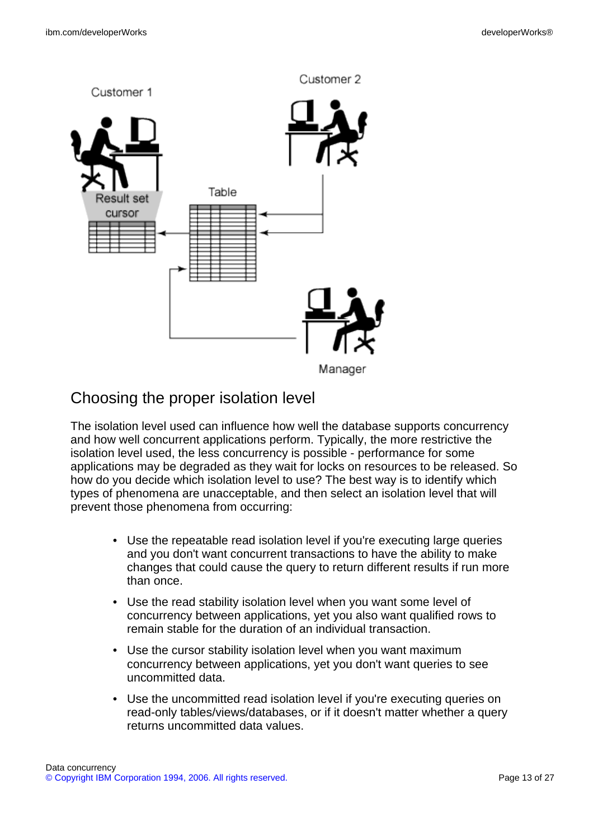

# Choosing the proper isolation level

The isolation level used can influence how well the database supports concurrency and how well concurrent applications perform. Typically, the more restrictive the isolation level used, the less concurrency is possible - performance for some applications may be degraded as they wait for locks on resources to be released. So how do you decide which isolation level to use? The best way is to identify which types of phenomena are unacceptable, and then select an isolation level that will prevent those phenomena from occurring:

- Use the repeatable read isolation level if you're executing large queries and you don't want concurrent transactions to have the ability to make changes that could cause the query to return different results if run more than once.
- Use the read stability isolation level when you want some level of concurrency between applications, yet you also want qualified rows to remain stable for the duration of an individual transaction.
- Use the cursor stability isolation level when you want maximum concurrency between applications, yet you don't want queries to see uncommitted data.
- Use the uncommitted read isolation level if you're executing queries on read-only tables/views/databases, or if it doesn't matter whether a query returns uncommitted data values.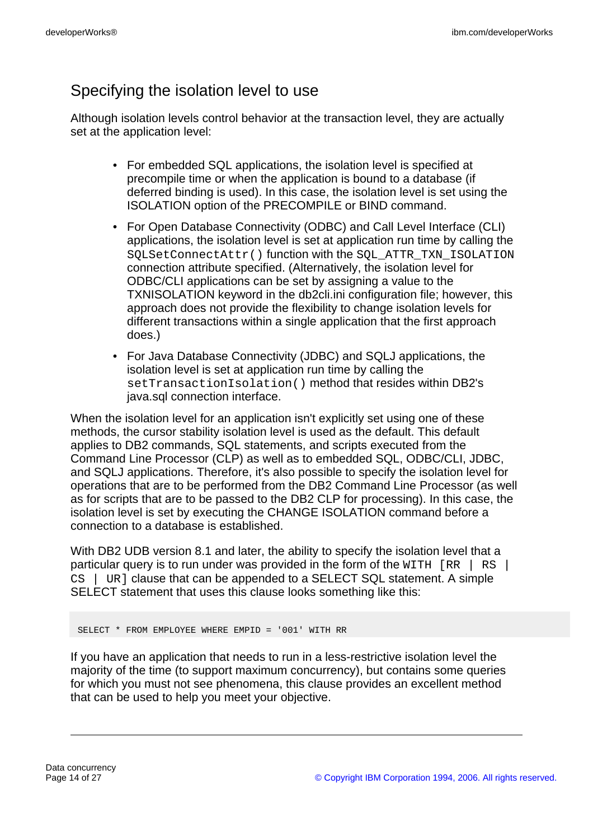# Specifying the isolation level to use

Although isolation levels control behavior at the transaction level, they are actually set at the application level:

- For embedded SQL applications, the isolation level is specified at precompile time or when the application is bound to a database (if deferred binding is used). In this case, the isolation level is set using the ISOLATION option of the PRECOMPILE or BIND command.
- For Open Database Connectivity (ODBC) and Call Level Interface (CLI) applications, the isolation level is set at application run time by calling the SQLSetConnectAttr() function with the SQL\_ATTR\_TXN\_ISOLATION connection attribute specified. (Alternatively, the isolation level for ODBC/CLI applications can be set by assigning a value to the TXNISOLATION keyword in the db2cli.ini configuration file; however, this approach does not provide the flexibility to change isolation levels for different transactions within a single application that the first approach does.)
- For Java Database Connectivity (JDBC) and SQLJ applications, the isolation level is set at application run time by calling the setTransactionIsolation() method that resides within DB2's java.sql connection interface.

When the isolation level for an application isn't explicitly set using one of these methods, the cursor stability isolation level is used as the default. This default applies to DB2 commands, SQL statements, and scripts executed from the Command Line Processor (CLP) as well as to embedded SQL, ODBC/CLI, JDBC, and SQLJ applications. Therefore, it's also possible to specify the isolation level for operations that are to be performed from the DB2 Command Line Processor (as well as for scripts that are to be passed to the DB2 CLP for processing). In this case, the isolation level is set by executing the CHANGE ISOLATION command before a connection to a database is established.

With DB2 UDB version 8.1 and later, the ability to specify the isolation level that a particular query is to run under was provided in the form of the  $\text{WITH}$  [RR | RS |  $CS$  | UR ] clause that can be appended to a SELECT SQL statement. A simple SELECT statement that uses this clause looks something like this:

SELECT \* FROM EMPLOYEE WHERE EMPID = '001' WITH RR

If you have an application that needs to run in a less-restrictive isolation level the majority of the time (to support maximum concurrency), but contains some queries for which you must not see phenomena, this clause provides an excellent method that can be used to help you meet your objective.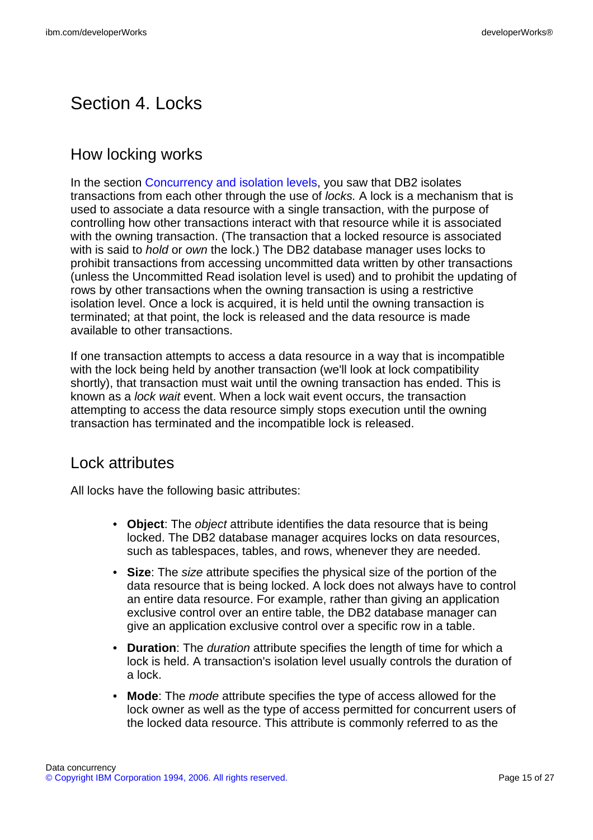# Section 4. Locks

## How locking works

In the section [Concurrency and isolation levels](#page-5-0), you saw that DB2 isolates transactions from each other through the use of locks. A lock is a mechanism that is used to associate a data resource with a single transaction, with the purpose of controlling how other transactions interact with that resource while it is associated with the owning transaction. (The transaction that a locked resource is associated with is said to *hold* or *own* the lock.) The DB2 database manager uses locks to prohibit transactions from accessing uncommitted data written by other transactions (unless the Uncommitted Read isolation level is used) and to prohibit the updating of rows by other transactions when the owning transaction is using a restrictive isolation level. Once a lock is acquired, it is held until the owning transaction is terminated; at that point, the lock is released and the data resource is made available to other transactions.

If one transaction attempts to access a data resource in a way that is incompatible with the lock being held by another transaction (we'll look at lock compatibility shortly), that transaction must wait until the owning transaction has ended. This is known as a lock wait event. When a lock wait event occurs, the transaction attempting to access the data resource simply stops execution until the owning transaction has terminated and the incompatible lock is released.

## Lock attributes

All locks have the following basic attributes:

- **Object**: The object attribute identifies the data resource that is being locked. The DB2 database manager acquires locks on data resources, such as tablespaces, tables, and rows, whenever they are needed.
- **Size**: The size attribute specifies the physical size of the portion of the data resource that is being locked. A lock does not always have to control an entire data resource. For example, rather than giving an application exclusive control over an entire table, the DB2 database manager can give an application exclusive control over a specific row in a table.
- **Duration**: The duration attribute specifies the length of time for which a lock is held. A transaction's isolation level usually controls the duration of a lock.
- **Mode**: The mode attribute specifies the type of access allowed for the lock owner as well as the type of access permitted for concurrent users of the locked data resource. This attribute is commonly referred to as the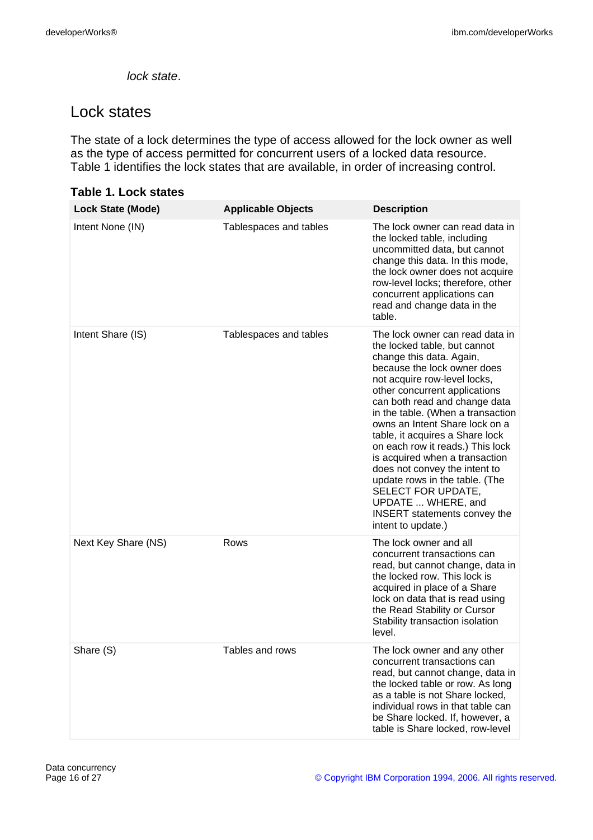lock state.

## Lock states

The state of a lock determines the type of access allowed for the lock owner as well as the type of access permitted for concurrent users of a locked data resource. Table 1 identifies the lock states that are available, in order of increasing control.

| ו מאופי ויי בטטו אנמופא  |                           |                                                                                                                                                                                                                                                                                                                                                                                                                                                                                                                                                                                          |
|--------------------------|---------------------------|------------------------------------------------------------------------------------------------------------------------------------------------------------------------------------------------------------------------------------------------------------------------------------------------------------------------------------------------------------------------------------------------------------------------------------------------------------------------------------------------------------------------------------------------------------------------------------------|
| <b>Lock State (Mode)</b> | <b>Applicable Objects</b> | <b>Description</b>                                                                                                                                                                                                                                                                                                                                                                                                                                                                                                                                                                       |
| Intent None (IN)         | Tablespaces and tables    | The lock owner can read data in<br>the locked table, including<br>uncommitted data, but cannot<br>change this data. In this mode,<br>the lock owner does not acquire<br>row-level locks; therefore, other<br>concurrent applications can<br>read and change data in the<br>table.                                                                                                                                                                                                                                                                                                        |
| Intent Share (IS)        | Tablespaces and tables    | The lock owner can read data in<br>the locked table, but cannot<br>change this data. Again,<br>because the lock owner does<br>not acquire row-level locks,<br>other concurrent applications<br>can both read and change data<br>in the table. (When a transaction<br>owns an Intent Share lock on a<br>table, it acquires a Share lock<br>on each row it reads.) This lock<br>is acquired when a transaction<br>does not convey the intent to<br>update rows in the table. (The<br>SELECT FOR UPDATE,<br>UPDATE  WHERE, and<br><b>INSERT</b> statements convey the<br>intent to update.) |
| Next Key Share (NS)      | Rows                      | The lock owner and all<br>concurrent transactions can<br>read, but cannot change, data in<br>the locked row. This lock is<br>acquired in place of a Share<br>lock on data that is read using<br>the Read Stability or Cursor<br>Stability transaction isolation<br>level.                                                                                                                                                                                                                                                                                                                |
| Share (S)                | Tables and rows           | The lock owner and any other<br>concurrent transactions can<br>read, but cannot change, data in<br>the locked table or row. As long<br>as a table is not Share locked,<br>individual rows in that table can<br>be Share locked. If, however, a<br>table is Share locked, row-level                                                                                                                                                                                                                                                                                                       |

#### **Table 1. Lock states**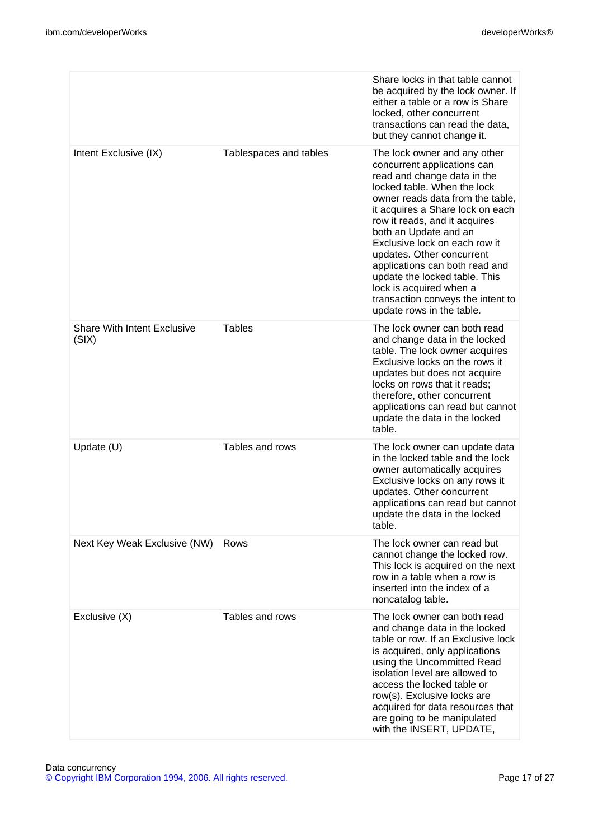|                                             |                        | Share locks in that table cannot<br>be acquired by the lock owner. If<br>either a table or a row is Share<br>locked, other concurrent<br>transactions can read the data,<br>but they cannot change it.                                                                                                                                                                                                                                                                                    |
|---------------------------------------------|------------------------|-------------------------------------------------------------------------------------------------------------------------------------------------------------------------------------------------------------------------------------------------------------------------------------------------------------------------------------------------------------------------------------------------------------------------------------------------------------------------------------------|
| Intent Exclusive (IX)                       | Tablespaces and tables | The lock owner and any other<br>concurrent applications can<br>read and change data in the<br>locked table. When the lock<br>owner reads data from the table,<br>it acquires a Share lock on each<br>row it reads, and it acquires<br>both an Update and an<br>Exclusive lock on each row it<br>updates. Other concurrent<br>applications can both read and<br>update the locked table. This<br>lock is acquired when a<br>transaction conveys the intent to<br>update rows in the table. |
| <b>Share With Intent Exclusive</b><br>(SIX) | <b>Tables</b>          | The lock owner can both read<br>and change data in the locked<br>table. The lock owner acquires<br>Exclusive locks on the rows it<br>updates but does not acquire<br>locks on rows that it reads;<br>therefore, other concurrent<br>applications can read but cannot<br>update the data in the locked<br>table.                                                                                                                                                                           |
| Update (U)                                  | Tables and rows        | The lock owner can update data<br>in the locked table and the lock<br>owner automatically acquires<br>Exclusive locks on any rows it<br>updates. Other concurrent<br>applications can read but cannot<br>update the data in the locked<br>table.                                                                                                                                                                                                                                          |
| Next Key Weak Exclusive (NW)                | Rows                   | The lock owner can read but<br>cannot change the locked row.<br>This lock is acquired on the next<br>row in a table when a row is<br>inserted into the index of a<br>noncatalog table.                                                                                                                                                                                                                                                                                                    |
| Exclusive (X)                               | Tables and rows        | The lock owner can both read<br>and change data in the locked<br>table or row. If an Exclusive lock<br>is acquired, only applications<br>using the Uncommitted Read<br>isolation level are allowed to<br>access the locked table or<br>row(s). Exclusive locks are<br>acquired for data resources that<br>are going to be manipulated<br>with the INSERT, UPDATE,                                                                                                                         |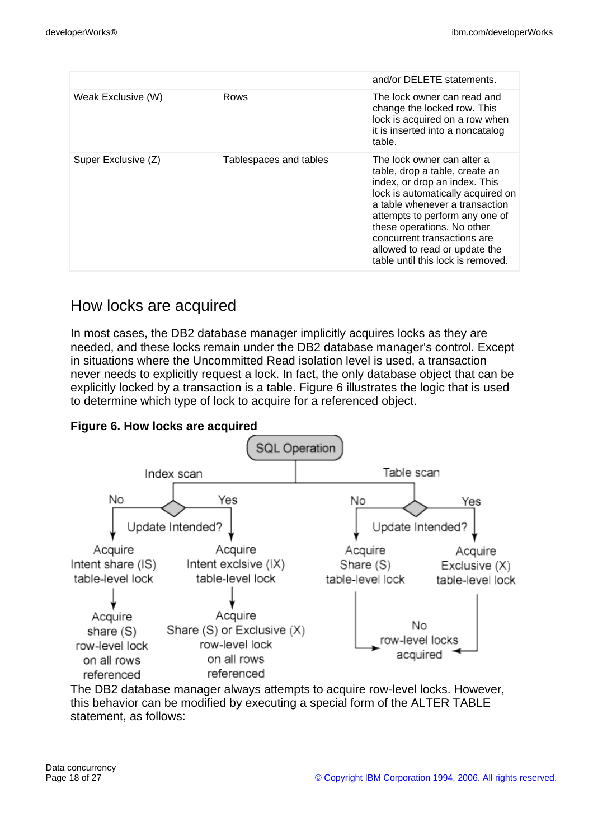|                     |                        | and/or DELETE statements.                                                                                                                                                                                                                                                                                                                 |
|---------------------|------------------------|-------------------------------------------------------------------------------------------------------------------------------------------------------------------------------------------------------------------------------------------------------------------------------------------------------------------------------------------|
| Weak Exclusive (W)  | Rows                   | The lock owner can read and<br>change the locked row. This<br>lock is acquired on a row when<br>it is inserted into a noncatalog<br>table.                                                                                                                                                                                                |
| Super Exclusive (Z) | Tablespaces and tables | The lock owner can alter a<br>table, drop a table, create an<br>index, or drop an index. This<br>lock is automatically acquired on<br>a table whenever a transaction<br>attempts to perform any one of<br>these operations. No other<br>concurrent transactions are<br>allowed to read or update the<br>table until this lock is removed. |

## How locks are acquired

In most cases, the DB2 database manager implicitly acquires locks as they are needed, and these locks remain under the DB2 database manager's control. Except in situations where the Uncommitted Read isolation level is used, a transaction never needs to explicitly request a lock. In fact, the only database object that can be explicitly locked by a transaction is a table. Figure 6 illustrates the logic that is used to determine which type of lock to acquire for a referenced object.



# **Figure 6. How locks are acquired**

The DB2 database manager always attempts to acquire row-level locks. However, this behavior can be modified by executing a special form of the ALTER TABLE statement, as follows: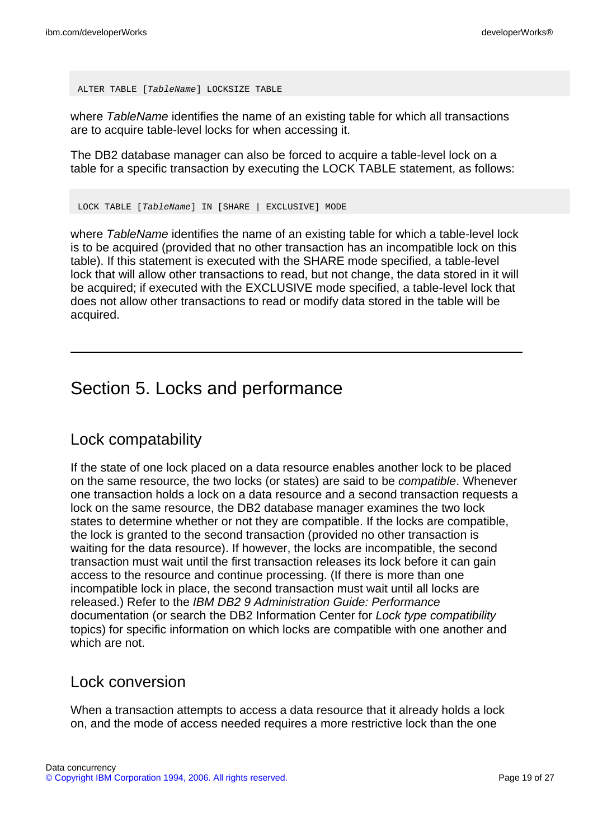ALTER TABLE [TableName] LOCKSIZE TABLE

where TableName identifies the name of an existing table for which all transactions are to acquire table-level locks for when accessing it.

The DB2 database manager can also be forced to acquire a table-level lock on a table for a specific transaction by executing the LOCK TABLE statement, as follows:

LOCK TABLE [TableName] IN [SHARE | EXCLUSIVE] MODE

where TableName identifies the name of an existing table for which a table-level lock is to be acquired (provided that no other transaction has an incompatible lock on this table). If this statement is executed with the SHARE mode specified, a table-level lock that will allow other transactions to read, but not change, the data stored in it will be acquired; if executed with the EXCLUSIVE mode specified, a table-level lock that does not allow other transactions to read or modify data stored in the table will be acquired.

# Section 5. Locks and performance

### Lock compatability

If the state of one lock placed on a data resource enables another lock to be placed on the same resource, the two locks (or states) are said to be compatible. Whenever one transaction holds a lock on a data resource and a second transaction requests a lock on the same resource, the DB2 database manager examines the two lock states to determine whether or not they are compatible. If the locks are compatible, the lock is granted to the second transaction (provided no other transaction is waiting for the data resource). If however, the locks are incompatible, the second transaction must wait until the first transaction releases its lock before it can gain access to the resource and continue processing. (If there is more than one incompatible lock in place, the second transaction must wait until all locks are released.) Refer to the IBM DB2 9 Administration Guide: Performance documentation (or search the DB2 Information Center for Lock type compatibility topics) for specific information on which locks are compatible with one another and which are not.

### Lock conversion

When a transaction attempts to access a data resource that it already holds a lock on, and the mode of access needed requires a more restrictive lock than the one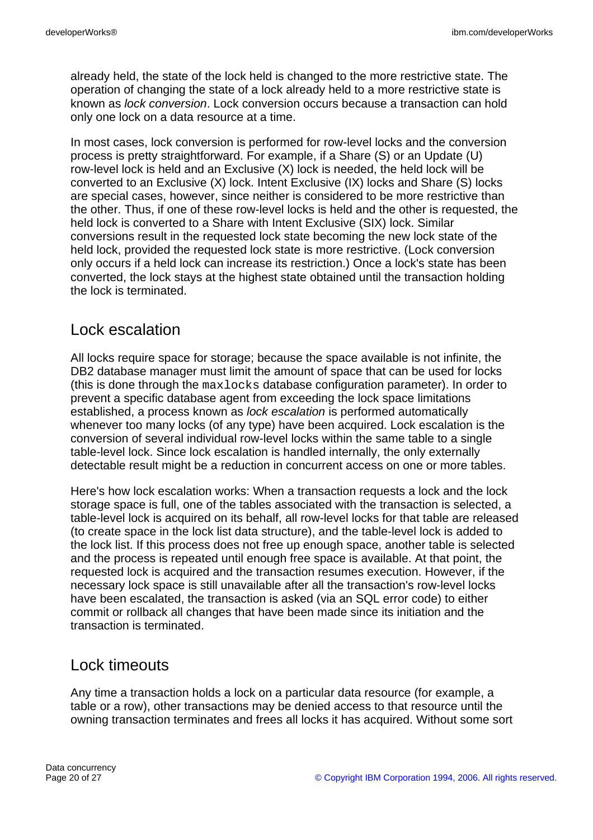already held, the state of the lock held is changed to the more restrictive state. The operation of changing the state of a lock already held to a more restrictive state is known as lock conversion. Lock conversion occurs because a transaction can hold only one lock on a data resource at a time.

In most cases, lock conversion is performed for row-level locks and the conversion process is pretty straightforward. For example, if a Share (S) or an Update (U) row-level lock is held and an Exclusive (X) lock is needed, the held lock will be converted to an Exclusive (X) lock. Intent Exclusive (IX) locks and Share (S) locks are special cases, however, since neither is considered to be more restrictive than the other. Thus, if one of these row-level locks is held and the other is requested, the held lock is converted to a Share with Intent Exclusive (SIX) lock. Similar conversions result in the requested lock state becoming the new lock state of the held lock, provided the requested lock state is more restrictive. (Lock conversion only occurs if a held lock can increase its restriction.) Once a lock's state has been converted, the lock stays at the highest state obtained until the transaction holding the lock is terminated.

## Lock escalation

All locks require space for storage; because the space available is not infinite, the DB2 database manager must limit the amount of space that can be used for locks (this is done through the maxlocks database configuration parameter). In order to prevent a specific database agent from exceeding the lock space limitations established, a process known as lock escalation is performed automatically whenever too many locks (of any type) have been acquired. Lock escalation is the conversion of several individual row-level locks within the same table to a single table-level lock. Since lock escalation is handled internally, the only externally detectable result might be a reduction in concurrent access on one or more tables.

Here's how lock escalation works: When a transaction requests a lock and the lock storage space is full, one of the tables associated with the transaction is selected, a table-level lock is acquired on its behalf, all row-level locks for that table are released (to create space in the lock list data structure), and the table-level lock is added to the lock list. If this process does not free up enough space, another table is selected and the process is repeated until enough free space is available. At that point, the requested lock is acquired and the transaction resumes execution. However, if the necessary lock space is still unavailable after all the transaction's row-level locks have been escalated, the transaction is asked (via an SQL error code) to either commit or rollback all changes that have been made since its initiation and the transaction is terminated.

# Lock timeouts

Any time a transaction holds a lock on a particular data resource (for example, a table or a row), other transactions may be denied access to that resource until the owning transaction terminates and frees all locks it has acquired. Without some sort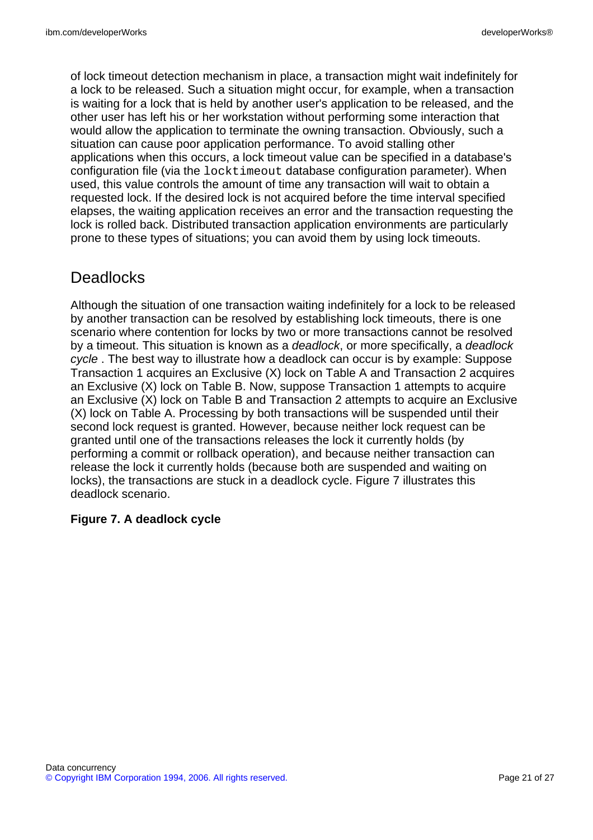of lock timeout detection mechanism in place, a transaction might wait indefinitely for a lock to be released. Such a situation might occur, for example, when a transaction is waiting for a lock that is held by another user's application to be released, and the other user has left his or her workstation without performing some interaction that would allow the application to terminate the owning transaction. Obviously, such a situation can cause poor application performance. To avoid stalling other applications when this occurs, a lock timeout value can be specified in a database's configuration file (via the locktimeout database configuration parameter). When used, this value controls the amount of time any transaction will wait to obtain a requested lock. If the desired lock is not acquired before the time interval specified elapses, the waiting application receives an error and the transaction requesting the lock is rolled back. Distributed transaction application environments are particularly prone to these types of situations; you can avoid them by using lock timeouts.

# **Deadlocks**

Although the situation of one transaction waiting indefinitely for a lock to be released by another transaction can be resolved by establishing lock timeouts, there is one scenario where contention for locks by two or more transactions cannot be resolved by a timeout. This situation is known as a deadlock, or more specifically, a deadlock cycle . The best way to illustrate how a deadlock can occur is by example: Suppose Transaction 1 acquires an Exclusive (X) lock on Table A and Transaction 2 acquires an Exclusive (X) lock on Table B. Now, suppose Transaction 1 attempts to acquire an Exclusive (X) lock on Table B and Transaction 2 attempts to acquire an Exclusive (X) lock on Table A. Processing by both transactions will be suspended until their second lock request is granted. However, because neither lock request can be granted until one of the transactions releases the lock it currently holds (by performing a commit or rollback operation), and because neither transaction can release the lock it currently holds (because both are suspended and waiting on locks), the transactions are stuck in a deadlock cycle. Figure 7 illustrates this deadlock scenario.

### **Figure 7. A deadlock cycle**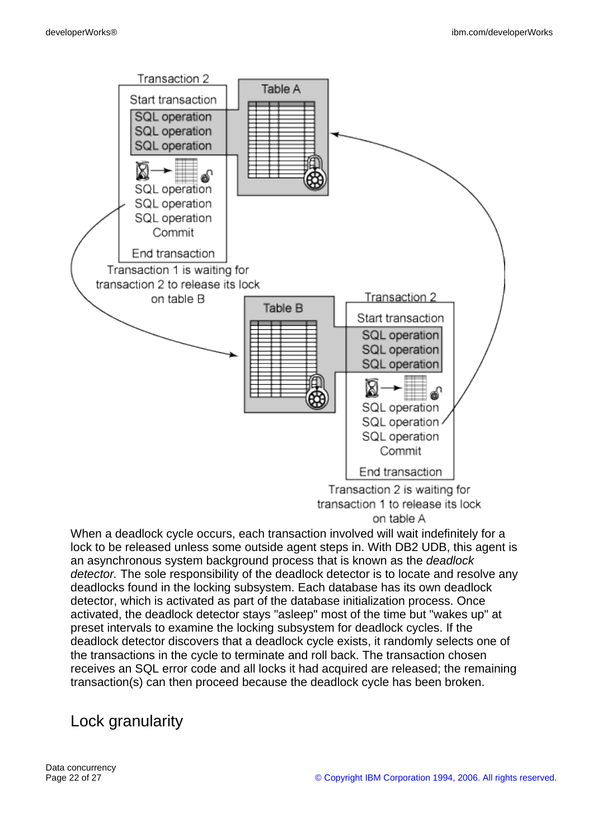

on table A

When a deadlock cycle occurs, each transaction involved will wait indefinitely for a lock to be released unless some outside agent steps in. With DB2 UDB, this agent is an asynchronous system background process that is known as the deadlock detector. The sole responsibility of the deadlock detector is to locate and resolve any deadlocks found in the locking subsystem. Each database has its own deadlock detector, which is activated as part of the database initialization process. Once activated, the deadlock detector stays "asleep" most of the time but "wakes up" at preset intervals to examine the locking subsystem for deadlock cycles. If the deadlock detector discovers that a deadlock cycle exists, it randomly selects one of the transactions in the cycle to terminate and roll back. The transaction chosen receives an SQL error code and all locks it had acquired are released; the remaining transaction(s) can then proceed because the deadlock cycle has been broken.

## Lock granularity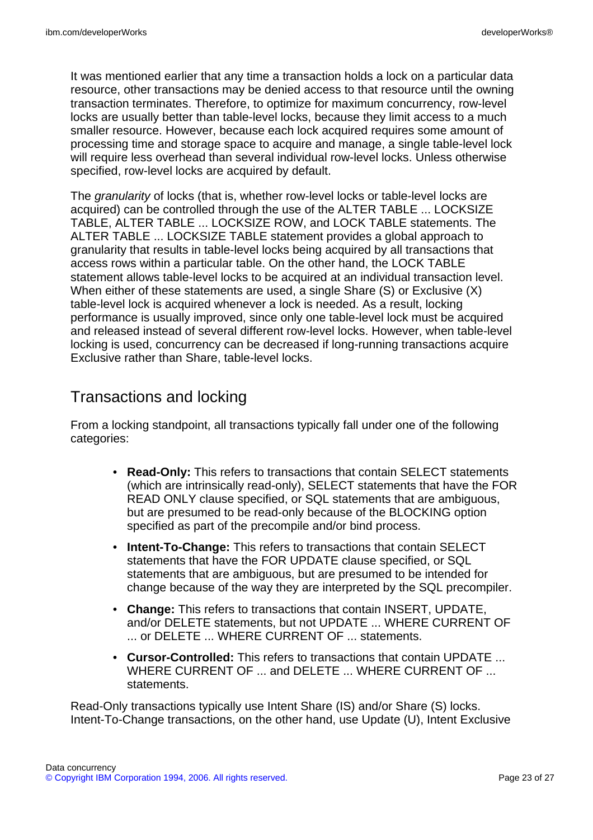It was mentioned earlier that any time a transaction holds a lock on a particular data resource, other transactions may be denied access to that resource until the owning transaction terminates. Therefore, to optimize for maximum concurrency, row-level locks are usually better than table-level locks, because they limit access to a much smaller resource. However, because each lock acquired requires some amount of processing time and storage space to acquire and manage, a single table-level lock will require less overhead than several individual row-level locks. Unless otherwise specified, row-level locks are acquired by default.

The *granularity* of locks (that is, whether row-level locks or table-level locks are acquired) can be controlled through the use of the ALTER TABLE ... LOCKSIZE TABLE, ALTER TABLE ... LOCKSIZE ROW, and LOCK TABLE statements. The ALTER TABLE ... LOCKSIZE TABLE statement provides a global approach to granularity that results in table-level locks being acquired by all transactions that access rows within a particular table. On the other hand, the LOCK TABLE statement allows table-level locks to be acquired at an individual transaction level. When either of these statements are used, a single Share (S) or Exclusive (X) table-level lock is acquired whenever a lock is needed. As a result, locking performance is usually improved, since only one table-level lock must be acquired and released instead of several different row-level locks. However, when table-level locking is used, concurrency can be decreased if long-running transactions acquire Exclusive rather than Share, table-level locks.

## Transactions and locking

From a locking standpoint, all transactions typically fall under one of the following categories:

- **Read-Only:** This refers to transactions that contain SELECT statements (which are intrinsically read-only), SELECT statements that have the FOR READ ONLY clause specified, or SQL statements that are ambiguous, but are presumed to be read-only because of the BLOCKING option specified as part of the precompile and/or bind process.
- **Intent-To-Change:** This refers to transactions that contain SELECT statements that have the FOR UPDATE clause specified, or SQL statements that are ambiguous, but are presumed to be intended for change because of the way they are interpreted by the SQL precompiler.
- **Change:** This refers to transactions that contain INSERT, UPDATE, and/or DELETE statements, but not UPDATE ... WHERE CURRENT OF ... or DELETE ... WHERE CURRENT OF ... statements.
- **Cursor-Controlled:** This refers to transactions that contain UPDATE ... WHERE CURRENT OF ... and DELETE ... WHERE CURRENT OF ... statements.

Read-Only transactions typically use Intent Share (IS) and/or Share (S) locks. Intent-To-Change transactions, on the other hand, use Update (U), Intent Exclusive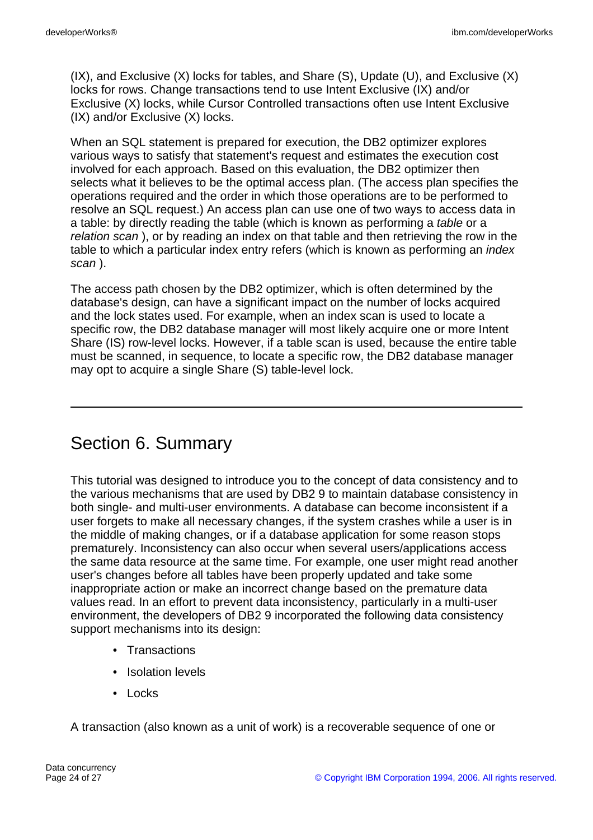(IX), and Exclusive (X) locks for tables, and Share (S), Update (U), and Exclusive (X) locks for rows. Change transactions tend to use Intent Exclusive (IX) and/or Exclusive (X) locks, while Cursor Controlled transactions often use Intent Exclusive (IX) and/or Exclusive (X) locks.

When an SQL statement is prepared for execution, the DB2 optimizer explores various ways to satisfy that statement's request and estimates the execution cost involved for each approach. Based on this evaluation, the DB2 optimizer then selects what it believes to be the optimal access plan. (The access plan specifies the operations required and the order in which those operations are to be performed to resolve an SQL request.) An access plan can use one of two ways to access data in a table: by directly reading the table (which is known as performing a table or a relation scan ), or by reading an index on that table and then retrieving the row in the table to which a particular index entry refers (which is known as performing an index scan ).

The access path chosen by the DB2 optimizer, which is often determined by the database's design, can have a significant impact on the number of locks acquired and the lock states used. For example, when an index scan is used to locate a specific row, the DB2 database manager will most likely acquire one or more Intent Share (IS) row-level locks. However, if a table scan is used, because the entire table must be scanned, in sequence, to locate a specific row, the DB2 database manager may opt to acquire a single Share (S) table-level lock.

# Section 6. Summary

This tutorial was designed to introduce you to the concept of data consistency and to the various mechanisms that are used by DB2 9 to maintain database consistency in both single- and multi-user environments. A database can become inconsistent if a user forgets to make all necessary changes, if the system crashes while a user is in the middle of making changes, or if a database application for some reason stops prematurely. Inconsistency can also occur when several users/applications access the same data resource at the same time. For example, one user might read another user's changes before all tables have been properly updated and take some inappropriate action or make an incorrect change based on the premature data values read. In an effort to prevent data inconsistency, particularly in a multi-user environment, the developers of DB2 9 incorporated the following data consistency support mechanisms into its design:

- Transactions
- Isolation levels
- Locks

A transaction (also known as a unit of work) is a recoverable sequence of one or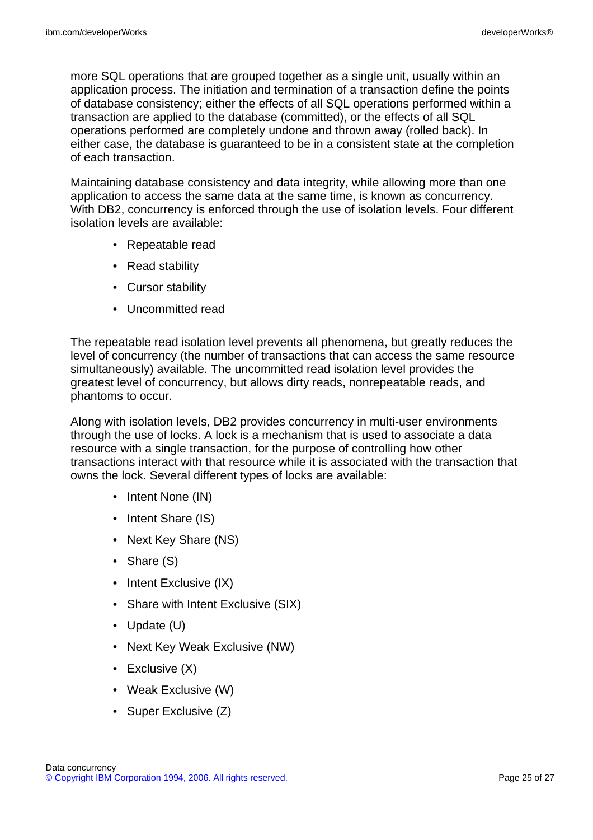more SQL operations that are grouped together as a single unit, usually within an application process. The initiation and termination of a transaction define the points of database consistency; either the effects of all SQL operations performed within a transaction are applied to the database (committed), or the effects of all SQL operations performed are completely undone and thrown away (rolled back). In either case, the database is guaranteed to be in a consistent state at the completion of each transaction.

Maintaining database consistency and data integrity, while allowing more than one application to access the same data at the same time, is known as concurrency. With DB2, concurrency is enforced through the use of isolation levels. Four different isolation levels are available:

- Repeatable read
- Read stability
- Cursor stability
- Uncommitted read

The repeatable read isolation level prevents all phenomena, but greatly reduces the level of concurrency (the number of transactions that can access the same resource simultaneously) available. The uncommitted read isolation level provides the greatest level of concurrency, but allows dirty reads, nonrepeatable reads, and phantoms to occur.

Along with isolation levels, DB2 provides concurrency in multi-user environments through the use of locks. A lock is a mechanism that is used to associate a data resource with a single transaction, for the purpose of controlling how other transactions interact with that resource while it is associated with the transaction that owns the lock. Several different types of locks are available:

- Intent None (IN)
- Intent Share (IS)
- Next Key Share (NS)
- Share (S)
- Intent Exclusive (IX)
- Share with Intent Exclusive (SIX)
- Update (U)
- Next Key Weak Exclusive (NW)
- Exclusive (X)
- Weak Exclusive (W)
- Super Exclusive (Z)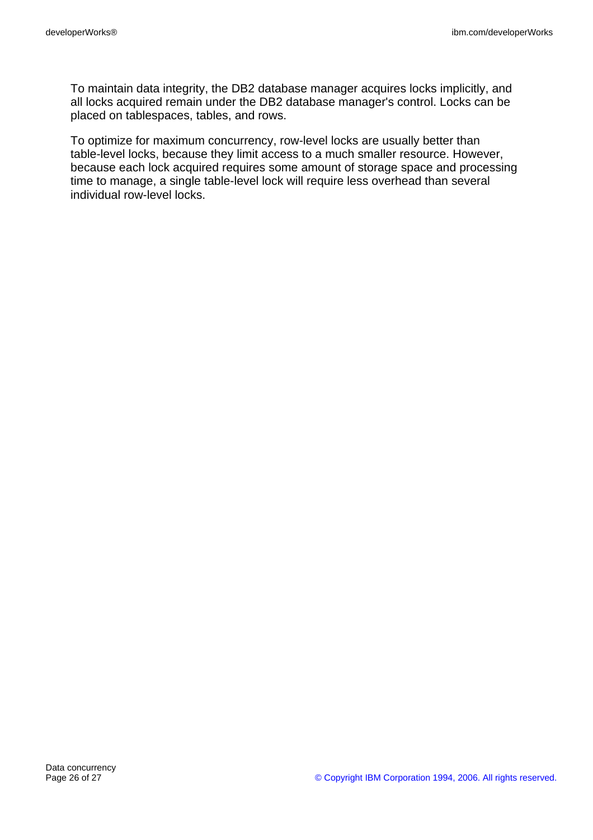To maintain data integrity, the DB2 database manager acquires locks implicitly, and all locks acquired remain under the DB2 database manager's control. Locks can be placed on tablespaces, tables, and rows.

To optimize for maximum concurrency, row-level locks are usually better than table-level locks, because they limit access to a much smaller resource. However, because each lock acquired requires some amount of storage space and processing time to manage, a single table-level lock will require less overhead than several individual row-level locks.